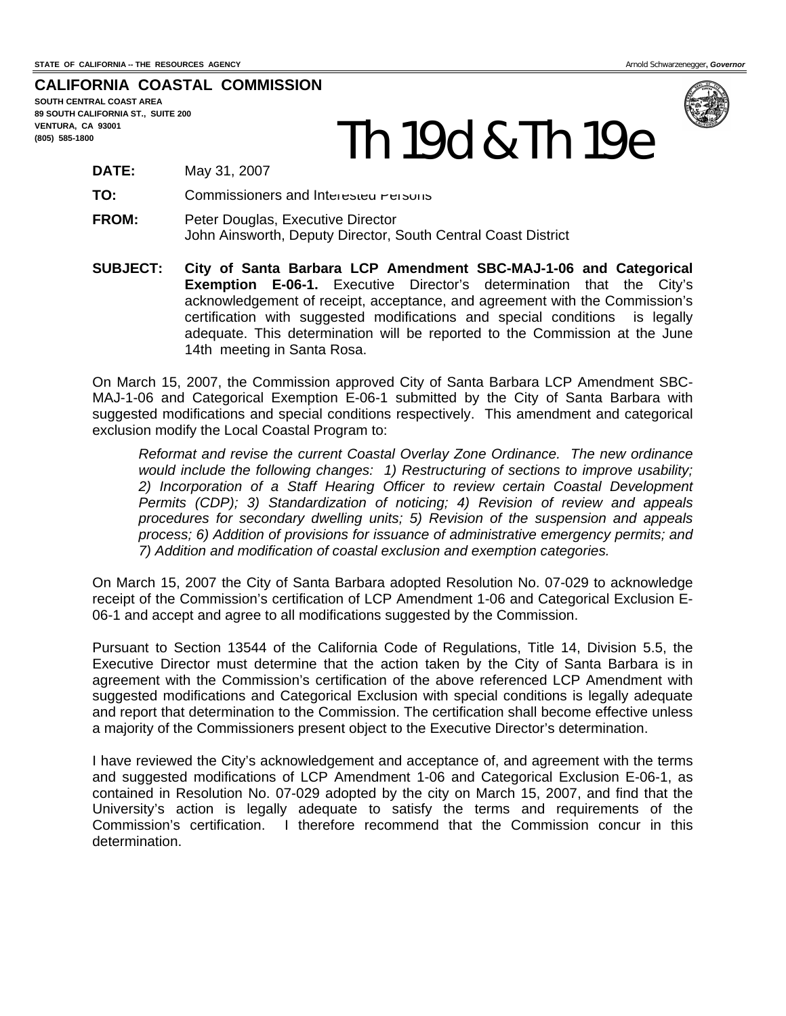## **CALIFORNIA COASTAL COMMISSION**

**SOUTH CENTRAL COAST AREA 89 SOUTH CALIFORNIA ST., SUITE 200 VENTURA, CA 93001 (805) 585-1800** 



# Th 19d & Th 19e

**DATE:** May 31, 2007

**TO:** Commissioners and Interested Persons

- **FROM:** Peter Douglas, Executive Director John Ainsworth, Deputy Director, South Central Coast District
- **SUBJECT: City of Santa Barbara LCP Amendment SBC-MAJ-1-06 and Categorical Exemption E-06-1.** Executive Director's determination that the City's acknowledgement of receipt, acceptance, and agreement with the Commission's certification with suggested modifications and special conditions is legally adequate. This determination will be reported to the Commission at the June 14th meeting in Santa Rosa.

On March 15, 2007, the Commission approved City of Santa Barbara LCP Amendment SBC-MAJ-1-06 and Categorical Exemption E-06-1 submitted by the City of Santa Barbara with suggested modifications and special conditions respectively. This amendment and categorical exclusion modify the Local Coastal Program to:

*Reformat and revise the current Coastal Overlay Zone Ordinance. The new ordinance would include the following changes: 1) Restructuring of sections to improve usability; 2) Incorporation of a Staff Hearing Officer to review certain Coastal Development Permits (CDP); 3) Standardization of noticing; 4) Revision of review and appeals procedures for secondary dwelling units; 5) Revision of the suspension and appeals process; 6) Addition of provisions for issuance of administrative emergency permits; and 7) Addition and modification of coastal exclusion and exemption categories.* 

On March 15, 2007 the City of Santa Barbara adopted Resolution No. 07-029 to acknowledge receipt of the Commission's certification of LCP Amendment 1-06 and Categorical Exclusion E-06-1 and accept and agree to all modifications suggested by the Commission.

Pursuant to Section 13544 of the California Code of Regulations, Title 14, Division 5.5, the Executive Director must determine that the action taken by the City of Santa Barbara is in agreement with the Commission's certification of the above referenced LCP Amendment with suggested modifications and Categorical Exclusion with special conditions is legally adequate and report that determination to the Commission. The certification shall become effective unless a majority of the Commissioners present object to the Executive Director's determination.

I have reviewed the City's acknowledgement and acceptance of, and agreement with the terms and suggested modifications of LCP Amendment 1-06 and Categorical Exclusion E-06-1, as contained in Resolution No. 07-029 adopted by the city on March 15, 2007, and find that the University's action is legally adequate to satisfy the terms and requirements of the Commission's certification. I therefore recommend that the Commission concur in this determination.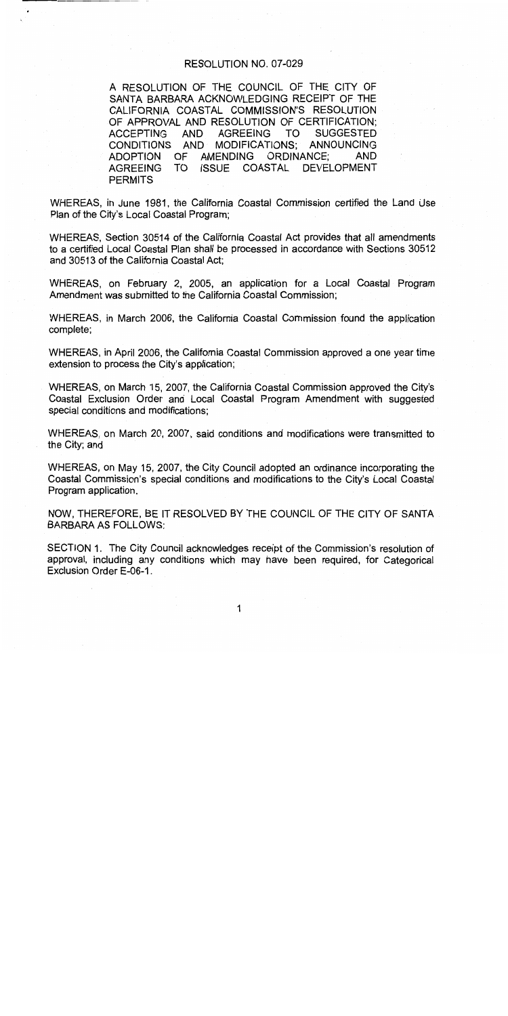## RESOLUTION NO. 07-029

A RESOLUTION OF THE COUNCIL OF THE CITY OF SANTA BARBARA ACKNOWLEDGING RECEIPT OF THE CALIFORNIA COASTAL COMMISSION'S RESOLUTION OF APPROVAL AND RESOLUTION OF CERTIFICATION; **ACCEPTING AGREEING** TO **SUGGESTED** AND **CONDITIONS** AND MODIFICATIONS; ANNOUNCING ADOPTION OF **AMENDING ORDINANCE: AND** ISSUE COASTAL DEVELOPMENT AGREEING TO **PERMITS** 

WHEREAS, in June 1981, the California Coastal Commission certified the Land Use Plan of the City's Local Coastal Program;

WHEREAS, Section 30514 of the California Coastal Act provides that all amendments to a certified Local Coastal Plan shall be processed in accordance with Sections 30512 and 30513 of the California Coastal Act;

WHEREAS, on February 2, 2005, an application for a Local Coastal Program Amendment was submitted to the California Coastal Commission;

WHEREAS, in March 2006, the California Coastal Commission found the application complete;

WHEREAS, in April 2006, the California Coastal Commission approved a one year time extension to process the City's application;

WHEREAS, on March 15, 2007, the California Coastal Commission approved the City's Coastal Exclusion Order and Local Coastal Program Amendment with suggested special conditions and modifications:

WHEREAS, on March 20, 2007, said conditions and modifications were transmitted to the City; and

WHEREAS, on May 15, 2007, the City Council adopted an ordinance incorporating the Coastal Commission's special conditions and modifications to the City's Local Coastal Program application.

NOW, THEREFORE, BE IT RESOLVED BY THE COUNCIL OF THE CITY OF SANTA **BARBARA AS FOLLOWS:** 

SECTION 1. The City Council acknowledges receipt of the Commission's resolution of approval, including any conditions which may have been required, for Categorical Exclusion Order E-06-1.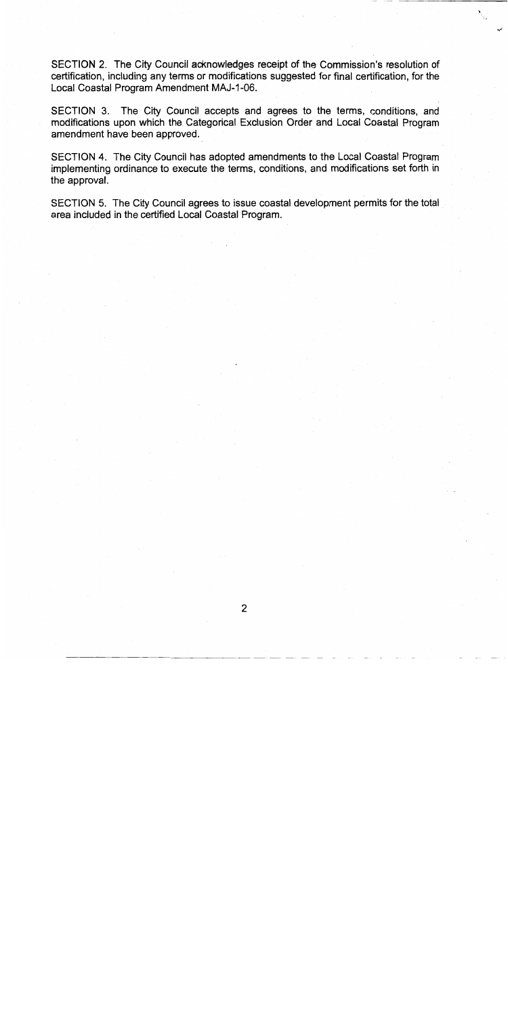SECTION 2. The City Council acknowledges receipt of the Commission's resolution of certification, including any terms or modifications suggested for final certification, for the Local Coastal Program Amendment MAJ-1-06.

SECTION 3. The City Council accepts and agrees to the terms, conditions, and modifications upon which the Categorical Exclusion Order and Local Coastal Program amendment have been approved.

SECTION 4. The City Council has adopted amendments to the Local Coastal Program implementing ordinance to execute the terms, conditions, and modifications set forth in the approval.

SECTION 5. The City Council agrees to issue coastal development permits for the total area included in the certified Local Coastal Program.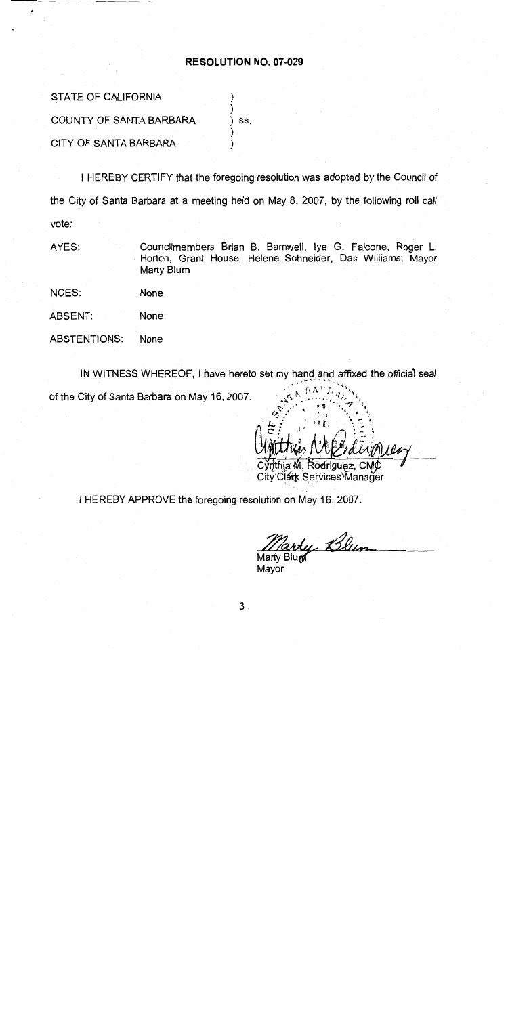## **RESOLUTION NO. 07-029**

SS.

STATE OF CALIFORNIA

COUNTY OF SANTA BARBARA **CITY OF SANTA BARBARA** 

I HEREBY CERTIFY that the foregoing resolution was adopted by the Council of the City of Santa Barbara at a meeting held on May 8, 2007, by the following roll call vote:

AYES:

Councilmembers Brian B. Barnwell, Iya G. Falcone, Roger L. Horton, Grant House, Helene Schneider, Das Williams; Mayor Marty Blum

NOES: None

**ABSENT:** None

**ABSTENTIONS:** None

IN WITNESS WHEREOF, I have hereto set my hand and affixed the official seal

of the City of Santa Barbara on May 16, 2007.

City Clerk Services Manager

I HEREBY APPROVE the foregoing resolution on May 16, 2007.

rty Blun

Marty Blum Mayor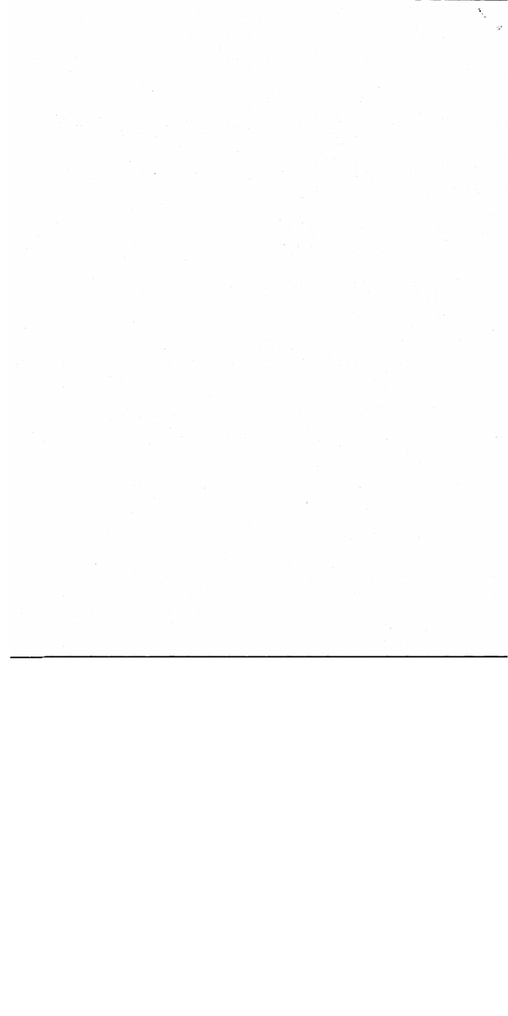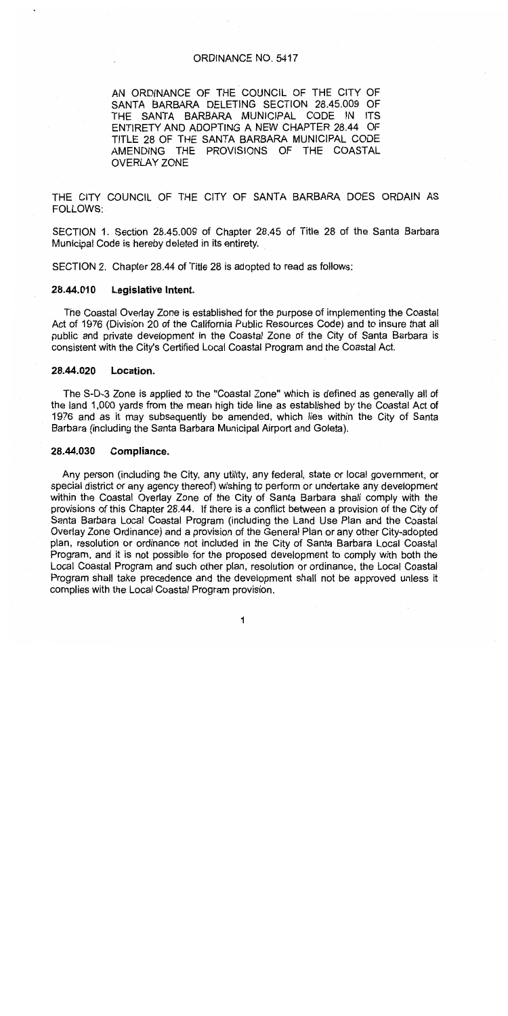## ORDINANCE NO. 5417

AN ORDINANCE OF THE COUNCIL OF THE CITY OF SANTA BARBARA DELETING SECTION 28.45.009 OF THE SANTA BARBARA MUNICIPAL CODE IN ITS ENTIRETY AND ADOPTING A NEW CHAPTER 28.44 OF TITLE 28 OF THE SANTA BARBARA MUNICIPAL CODE AMENDING THE PROVISIONS OF THE COASTAL **OVERLAY ZONE** 

THE CITY COUNCIL OF THE CITY OF SANTA BARBARA DOES ORDAIN AS **FOLLOWS:** 

SECTION 1. Section 28.45.009 of Chapter 28.45 of Title 28 of the Santa Barbara Municipal Code is hereby deleted in its entirety.

SECTION 2. Chapter 28.44 of Title 28 is adopted to read as follows:

#### 28.44.010 Legislative Intent.

The Coastal Overlay Zone is established for the purpose of implementing the Coastal Act of 1976 (Division 20 of the California Public Resources Code) and to insure that all public and private development in the Coastal Zone of the City of Santa Barbara is consistent with the City's Certified Local Coastal Program and the Coastal Act.

#### 28.44.020 Location.

The S-D-3 Zone is applied to the "Coastal Zone" which is defined as generally all of the land 1,000 yards from the mean high tide line as established by the Coastal Act of 1976 and as it may subsequently be amended, which lies within the City of Santa Barbara (including the Santa Barbara Municipal Airport and Goleta).

#### 28.44.030 Compliance.

Any person (including the City, any utility, any federal, state or local government, or special district or any agency thereof) wishing to perform or undertake any development within the Coastal Overlay Zone of the City of Santa Barbara shall comply with the provisions of this Chapter 28.44. If there is a conflict between a provision of the City of Santa Barbara Local Coastal Program (including the Land Use Plan and the Coastal Overlay Zone Ordinance) and a provision of the General Plan or any other City-adopted plan, resolution or ordinance not included in the City of Santa Barbara Local Coastal Program, and it is not possible for the proposed development to comply with both the Local Coastal Program and such other plan, resolution or ordinance, the Local Coastal Program shall take precedence and the development shall not be approved unless it complies with the Local Coastal Program provision.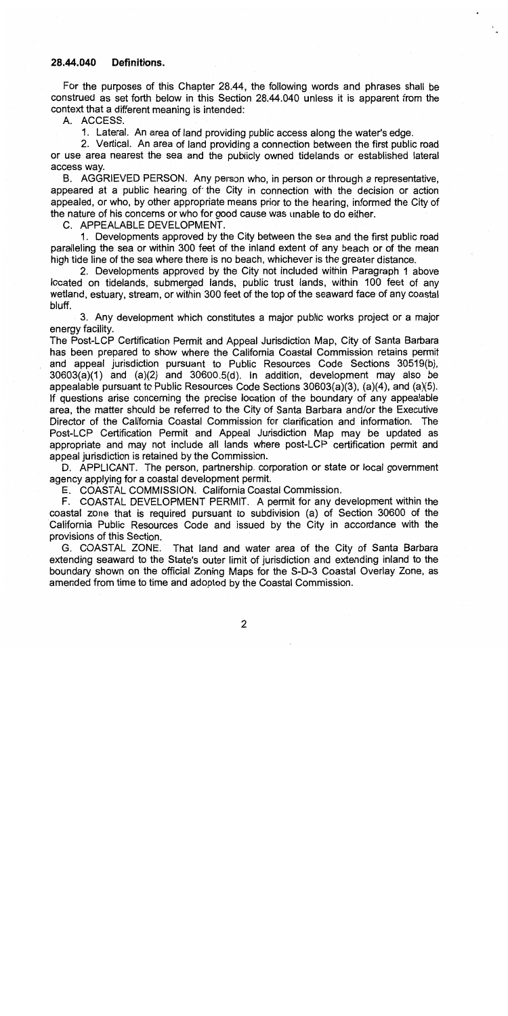#### 28.44.040 Definitions.

For the purposes of this Chapter 28.44, the following words and phrases shall be construed as set forth below in this Section 28.44.040 unless it is apparent from the context that a different meaning is intended:

A. ACCESS.

1. Lateral. An area of land providing public access along the water's edge.

2. Vertical. An area of land providing a connection between the first public road or use area nearest the sea and the publicly owned tidelands or established lateral access way.

B. AGGRIEVED PERSON. Any person who, in person or through a representative, appeared at a public hearing of the City in connection with the decision or action appealed, or who, by other appropriate means prior to the hearing, informed the City of the nature of his concerns or who for good cause was unable to do either.

C. APPEALABLE DEVELOPMENT.

1. Developments approved by the City between the sea and the first public road paralleling the sea or within 300 feet of the inland extent of any beach or of the mean high tide line of the sea where there is no beach, whichever is the greater distance.

2. Developments approved by the City not included within Paragraph 1 above located on tidelands, submerged lands, public trust lands, within 100 feet of any wetland, estuary, stream, or within 300 feet of the top of the seaward face of any coastal bluff.

3. Any development which constitutes a major public works project or a major energy facility.

The Post-LCP Certification Permit and Appeal Jurisdiction Map, City of Santa Barbara has been prepared to show where the California Coastal Commission retains permit and appeal jurisdiction pursuant to Public Resources Code Sections 30519(b),  $30603(a)(1)$  and  $(a)(2)$  and  $30600.5(d)$ . In addition, development may also be appealable pursuant to Public Resources Code Sections 30603(a)(3), (a)(4), and (a)(5). If questions arise concerning the precise location of the boundary of any appealable area, the matter should be referred to the City of Santa Barbara and/or the Executive Director of the California Coastal Commission for clarification and information. The Post-LCP Certification Permit and Appeal Jurisdiction Map may be updated as appropriate and may not include all lands where post-LCP certification permit and appeal jurisdiction is retained by the Commission.

D. APPLICANT. The person, partnership, corporation or state or local government agency applying for a coastal development permit.

E. COASTAL COMMISSION. California Coastal Commission.

F. COASTAL DEVELOPMENT PERMIT. A permit for any development within the coastal zone that is required pursuant to subdivision (a) of Section 30600 of the California Public Resources Code and issued by the City in accordance with the provisions of this Section.

G. COASTAL ZONE. That land and water area of the City of Santa Barbara extending seaward to the State's outer limit of jurisdiction and extending inland to the boundary shown on the official Zoning Maps for the S-D-3 Coastal Overlay Zone, as amended from time to time and adopted by the Coastal Commission.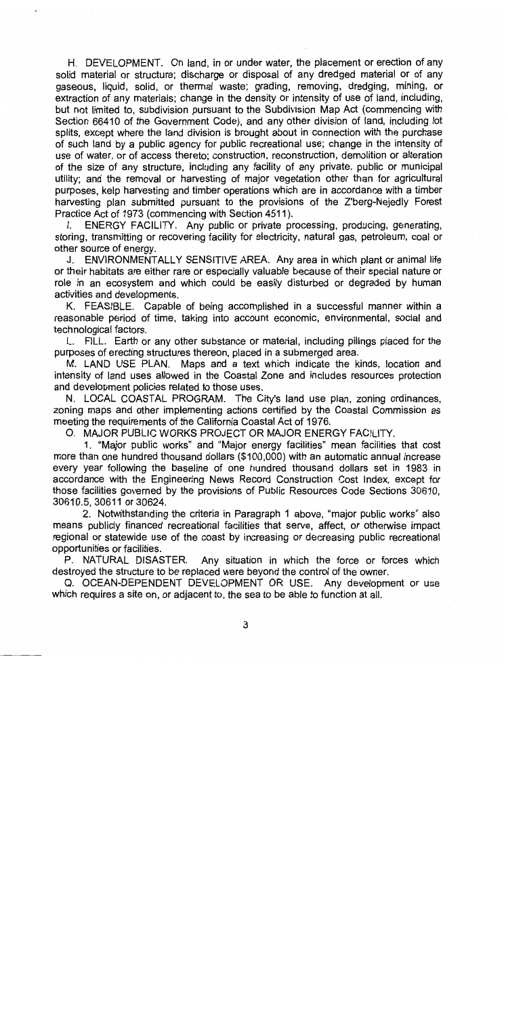H. DEVELOPMENT. On land, in or under water, the placement or erection of any solid material or structure; discharge or disposal of any dredged material or of any gaseous, liquid, solid, or thermal waste; grading, removing, dredging, mining, or extraction of any materials; change in the density or intensity of use of land, including, but not limited to, subdivision pursuant to the Subdivision Map Act (commencing with Section 66410 of the Government Code), and any other division of land, including lot splits, except where the land division is brought about in connection with the purchase of such land by a public agency for public recreational use; change in the intensity of use of water, or of access thereto; construction, reconstruction, demolition or alteration of the size of any structure, including any facility of any private, public or municipal utility; and the removal or harvesting of major vegetation other than for agricultural purposes, kelp harvesting and timber operations which are in accordance with a timber harvesting plan submitted pursuant to the provisions of the Z'berg-Nejedly Forest Practice Act of 1973 (commencing with Section 4511).

ENERGY FACILITY. Any public or private processing, producing, generating, L. storing, transmitting or recovering facility for electricity, natural gas, petroleum, coal or other source of energy.

J. ENVIRONMENTALLY SENSITIVE AREA. Any area in which plant or animal life or their habitats are either rare or especially valuable because of their special nature or role in an ecosystem and which could be easily disturbed or degraded by human activities and developments.

K. FEASIBLE. Capable of being accomplished in a successful manner within a reasonable period of time, taking into account economic, environmental, social and technological factors.

L. FILL. Earth or any other substance or material, including pilings placed for the purposes of erecting structures thereon, placed in a submerged area.

M. LAND USE PLAN. Maps and a text which indicate the kinds, location and intensity of land uses allowed in the Coastal Zone and includes resources protection and development policies related to those uses.

N. LOCAL COASTAL PROGRAM. The City's land use plan, zoning ordinances, zoning maps and other implementing actions certified by the Coastal Commission as meeting the requirements of the California Coastal Act of 1976.

O. MAJOR PUBLIC WORKS PROJECT OR MAJOR ENERGY FACILITY.

1. "Major public works" and "Major energy facilities" mean facilities that cost more than one hundred thousand dollars (\$100,000) with an automatic annual increase every year following the baseline of one hundred thousand dollars set in 1983 in accordance with the Engineering News Record Construction Cost Index, except for those facilities governed by the provisions of Public Resources Code Sections 30610, 30610.5, 30611 or 30624.

2. Notwithstanding the criteria in Paragraph 1 above, "major public works" also means publicly financed recreational facilities that serve, affect, or otherwise impact regional or statewide use of the coast by increasing or decreasing public recreational opportunities or facilities.

P. NATURAL DISASTER. Any situation in which the force or forces which destroyed the structure to be replaced were beyond the control of the owner.

Q. OCEAN-DEPENDENT DEVELOPMENT OR USE. Any development or use which requires a site on, or adjacent to, the sea to be able to function at all.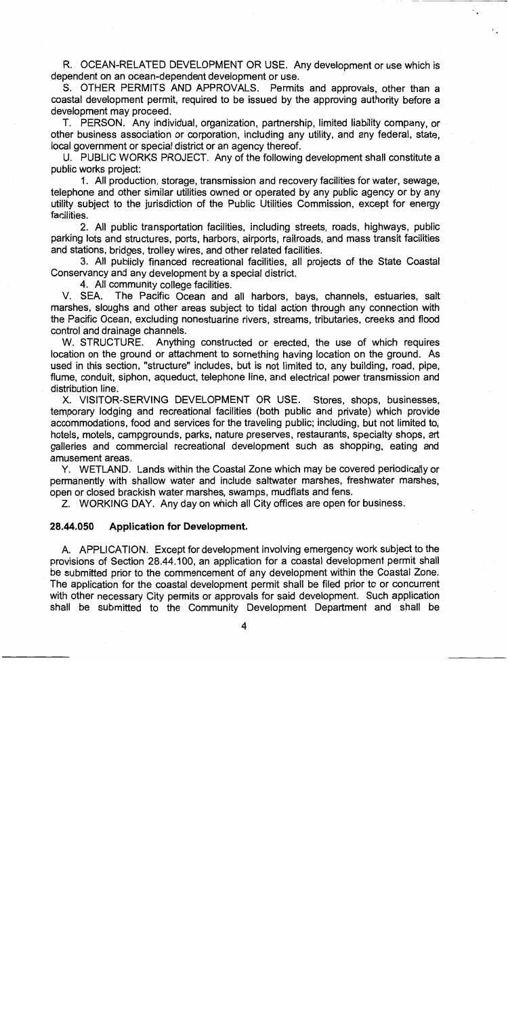R. OCEAN-RELATED DEVELOPMENT OR USE. Any development or use which is dependent on an ocean-dependent development or use.

S. OTHER PERMITS AND APPROVALS. Permits and approvals, other than a coastal development permit, required to be issued by the approving authority before a development may proceed.

T. PERSON. Any individual, organization, partnership, limited liability company, or other business association or corporation, including any utility, and any federal, state, local government or special district or an agency thereof.

U. PUBLIC WORKS PROJECT. Any of the following development shall constitute a public works project:

1. All production, storage, transmission and recovery facilities for water, sewage, telephone and other similar utilities owned or operated by any public agency or by any utility subject to the jurisdiction of the Public Utilities Commission, except for energy facilities.

2. All public transportation facilities, including streets, roads, highways, public parking lots and structures, ports, harbors, airports, railroads, and mass transit facilities and stations, bridges, trolley wires, and other related facilities.

3. All publicly financed recreational facilities, all projects of the State Coastal Conservancy and any development by a special district.

4. All community college facilities.

V. SEA. The Pacific Ocean and all harbors, bays, channels, estuaries, salt marshes, sloughs and other areas subject to tidal action through any connection with the Pacific Ocean, excluding nonestuarine rivers, streams, tributaries, creeks and flood control and drainage channels.

W. STRUCTURE. Anything constructed or erected, the use of which requires location on the ground or attachment to something having location on the ground. As used in this section, "structure" includes, but is not limited to, any building, road, pipe, flume, conduit, siphon, aqueduct, telephone line, and electrical power transmission and distribution line.

X. VISITOR-SERVING DEVELOPMENT OR USE. Stores, shops, businesses, temporary lodging and recreational facilities (both public and private) which provide accommodations, food and services for the traveling public: including, but not limited to, hotels, motels, campgrounds, parks, nature preserves, restaurants, specialty shops, art galleries and commercial recreational development such as shopping, eating and amusement areas.

Y. WETLAND. Lands within the Coastal Zone which may be covered periodically or permanently with shallow water and include saltwater marshes, freshwater marshes, open or closed brackish water marshes, swamps, mudflats and fens.

Z. WORKING DAY. Any day on which all City offices are open for business.

#### 28.44.050 **Application for Development.**

A. APPLICATION. Except for development involving emergency work subject to the provisions of Section 28.44.100, an application for a coastal development permit shall be submitted prior to the commencement of any development within the Coastal Zone. The application for the coastal development permit shall be filed prior to or concurrent with other necessary City permits or approvals for said development. Such application shall be submitted to the Community Development Department and shall be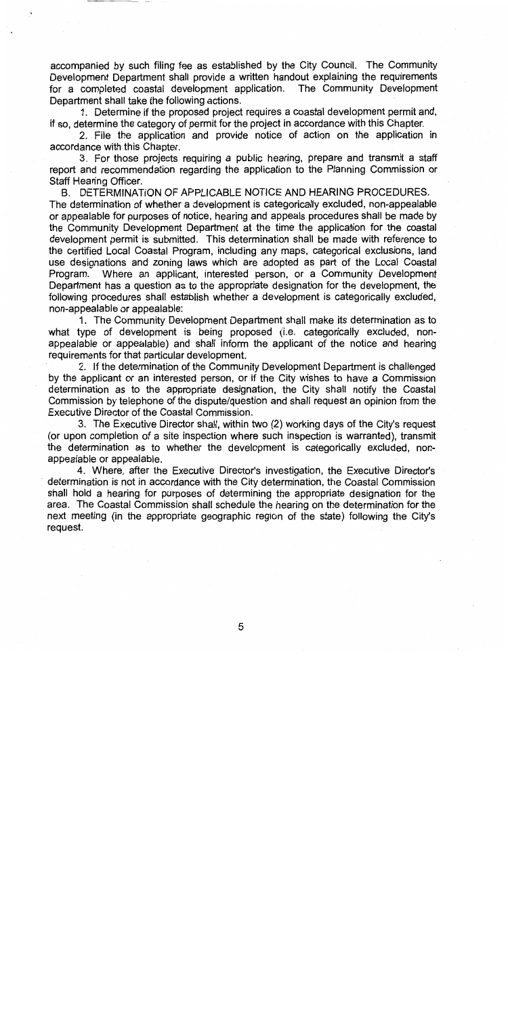accompanied by such filing fee as established by the City Council. The Community Development Department shall provide a written handout explaining the requirements for a completed coastal development application. The Community Development Department shall take the following actions.

1. Determine if the proposed project requires a coastal development permit and, if so, determine the category of permit for the project in accordance with this Chapter.

2. File the application and provide notice of action on the application in accordance with this Chapter.

3. For those projects requiring a public hearing, prepare and transmit a staff report and recommendation regarding the application to the Planning Commission or Staff Hearing Officer.

B. DETERMINATION OF APPLICABLE NOTICE AND HEARING PROCEDURES. The determination of whether a development is categorically excluded, non-appealable or appealable for purposes of notice, hearing and appeals procedures shall be made by the Community Development Department at the time the application for the coastal development permit is submitted. This determination shall be made with reference to the certified Local Coastal Program, including any maps, categorical exclusions, land use designations and zoning laws which are adopted as part of the Local Coastal Where an applicant, interested person, or a Community Development Program. Department has a question as to the appropriate designation for the development, the following procedures shall establish whether a development is categorically excluded, non-appealable or appealable:

1. The Community Development Department shall make its determination as to what type of development is being proposed (i.e. categorically excluded, nonappealable or appealable) and shall inform the applicant of the notice and hearing requirements for that particular development.

2. If the determination of the Community Development Department is challenged by the applicant or an interested person, or if the City wishes to have a Commission determination as to the appropriate designation, the City shall notify the Coastal Commission by telephone of the dispute/question and shall request an opinion from the Executive Director of the Coastal Commission.

3. The Executive Director shall, within two (2) working days of the City's request (or upon completion of a site inspection where such inspection is warranted), transmit the determination as to whether the development is categorically excluded, nonappealable or appealable.

4. Where, after the Executive Director's investigation, the Executive Director's determination is not in accordance with the City determination, the Coastal Commission shall hold a hearing for purposes of determining the appropriate designation for the area. The Coastal Commission shall schedule the hearing on the determination for the next meeting (in the appropriate geographic region of the state) following the City's request.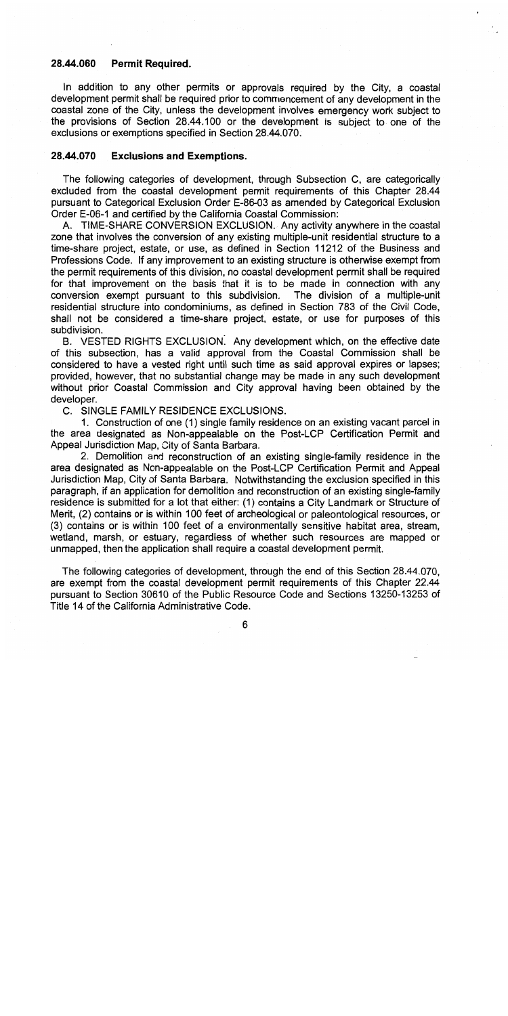#### 28.44.060 **Permit Required.**

In addition to any other permits or approvals required by the City, a coastal development permit shall be required prior to commencement of any development in the coastal zone of the City, unless the development involves emergency work subject to the provisions of Section 28.44.100 or the development is subject to one of the exclusions or exemptions specified in Section 28.44.070.

#### 28.44.070 **Exclusions and Exemptions.**

The following categories of development, through Subsection C, are categorically excluded from the coastal development permit requirements of this Chapter 28.44 pursuant to Categorical Exclusion Order E-86-03 as amended by Categorical Exclusion Order E-06-1 and certified by the California Coastal Commission:

A. TIME-SHARE CONVERSION EXCLUSION. Any activity anywhere in the coastal zone that involves the conversion of any existing multiple-unit residential structure to a time-share project, estate, or use, as defined in Section 11212 of the Business and Professions Code. If any improvement to an existing structure is otherwise exempt from the permit requirements of this division, no coastal development permit shall be required for that improvement on the basis that it is to be made in connection with any conversion exempt pursuant to this subdivision. The division of a multiple-unit residential structure into condominiums, as defined in Section 783 of the Civil Code, shall not be considered a time-share project, estate, or use for purposes of this subdivision.

B. VESTED RIGHTS EXCLUSION. Any development which, on the effective date of this subsection, has a valid approval from the Coastal Commission shall be considered to have a vested right until such time as said approval expires or lapses; provided, however, that no substantial change may be made in any such development without prior Coastal Commission and City approval having been obtained by the developer.

C. SINGLE FAMILY RESIDENCE EXCLUSIONS.

1. Construction of one (1) single family residence on an existing vacant parcel in the area designated as Non-appealable on the Post-LCP Certification Permit and Appeal Jurisdiction Map. City of Santa Barbara.

2. Demolition and reconstruction of an existing single-family residence in the area designated as Non-appealable on the Post-LCP Certification Permit and Appeal Jurisdiction Map, City of Santa Barbara. Notwithstanding the exclusion specified in this paragraph, if an application for demolition and reconstruction of an existing single-family residence is submitted for a lot that either: (1) contains a City Landmark or Structure of Merit, (2) contains or is within 100 feet of archeological or paleontological resources, or (3) contains or is within 100 feet of a environmentally sensitive habitat area, stream, wetland, marsh, or estuary, regardless of whether such resources are mapped or unmapped, then the application shall require a coastal development permit.

The following categories of development, through the end of this Section 28.44.070, are exempt from the coastal development permit requirements of this Chapter 22.44 pursuant to Section 30610 of the Public Resource Code and Sections 13250-13253 of Title 14 of the California Administrative Code.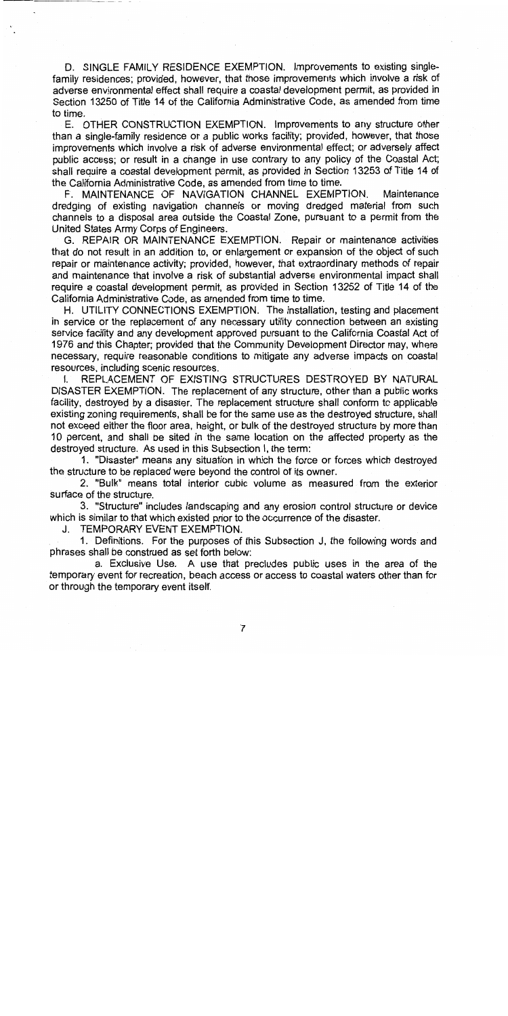D. SINGLE FAMILY RESIDENCE EXEMPTION. Improvements to existing singlefamily residences; provided, however, that those improvements which involve a risk of adverse environmental effect shall require a coastal development permit, as provided in Section 13250 of Title 14 of the California Administrative Code, as amended from time to time.

E. OTHER CONSTRUCTION EXEMPTION. Improvements to any structure other than a single-family residence or a public works facility; provided, however, that those improvements which involve a risk of adverse environmental effect; or adversely affect public access; or result in a change in use contrary to any policy of the Coastal Act; shall require a coastal development permit, as provided in Section 13253 of Title 14 of the California Administrative Code, as amended from time to time.

F. MAINTENANCE OF NAVIGATION CHANNEL EXEMPTION. Maintenance dredging of existing navigation channels or moving dredged material from such channels to a disposal area outside the Coastal Zone, pursuant to a permit from the United States Army Corps of Engineers.

G. REPAIR OR MAINTENANCE EXEMPTION. Repair or maintenance activities that do not result in an addition to, or enlargement or expansion of the object of such repair or maintenance activity; provided, however, that extraordinary methods of repair and maintenance that involve a risk of substantial adverse environmental impact shall require a coastal development permit, as provided in Section 13252 of Title 14 of the California Administrative Code, as amended from time to time.

H. UTILITY CONNECTIONS EXEMPTION. The installation, testing and placement in service or the replacement of any necessary utility connection between an existing service facility and any development approved pursuant to the California Coastal Act of 1976 and this Chapter; provided that the Community Development Director may, where necessary, require reasonable conditions to mitigate any adverse impacts on coastal resources, including scenic resources.

REPLACEMENT OF EXISTING STRUCTURES DESTROYED BY NATURAL  $\mathbf{L}$ DISASTER EXEMPTION. The replacement of any structure, other than a public works facility, destroyed by a disaster. The replacement structure shall conform to applicable existing zoning requirements, shall be for the same use as the destroyed structure, shall not exceed either the floor area, height, or bulk of the destroyed structure by more than 10 percent, and shall be sited in the same location on the affected property as the destroved structure. As used in this Subsection I, the term:

1. "Disaster" means any situation in which the force or forces which destroyed the structure to be replaced were beyond the control of its owner.

2. "Bulk" means total interior cubic volume as measured from the exterior surface of the structure.

3. "Structure" includes landscaping and any erosion control structure or device which is similar to that which existed prior to the occurrence of the disaster.

 $\mathbf{J}$ TEMPORARY EVENT EXEMPTION.

1. Definitions. For the purposes of this Subsection J, the following words and phrases shall be construed as set forth below:

a. Exclusive Use. A use that precludes public uses in the area of the temporary event for recreation, beach access or access to coastal waters other than for or through the temporary event itself.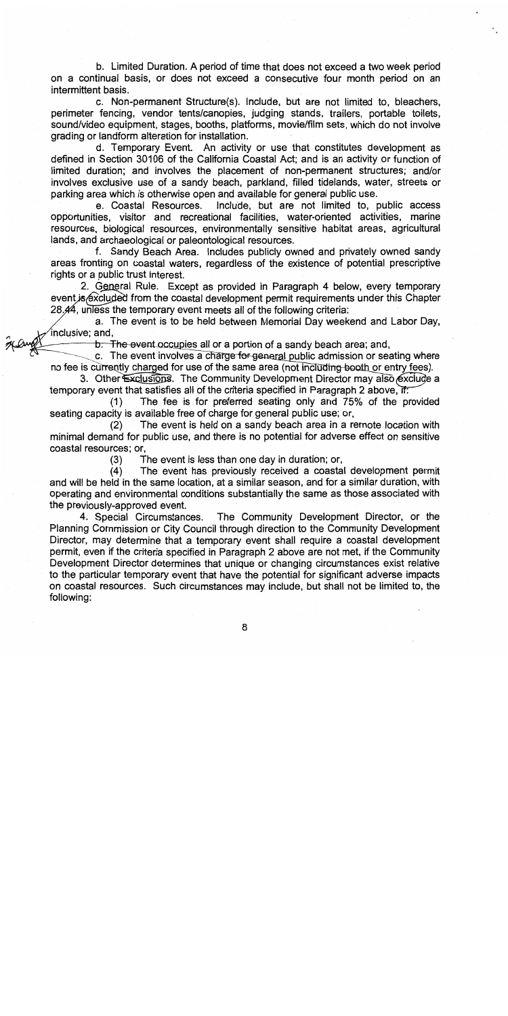b. Limited Duration. A period of time that does not exceed a two week period on a continual basis, or does not exceed a consecutive four month period on an intermittent basis.

c. Non-permanent Structure(s). Include, but are not limited to, bleachers, perimeter fencing, vendor tents/canopies, judging stands, trailers, portable toilets, sound/video equipment, stages, booths, platforms, movie/film sets, which do not involve grading or landform alteration for installation.

d. Temporary Event. An activity or use that constitutes development as defined in Section 30106 of the California Coastal Act; and is an activity or function of limited duration; and involves the placement of non-permanent structures; and/or involves exclusive use of a sandy beach, parkland, filled tidelands, water, streets or parking area which is otherwise open and available for general public use.

e. Coastal Resources. Include, but are not limited to, public access opportunities, visitor and recreational facilities, water-oriented activities, marine resources, biological resources, environmentally sensitive habitat areas, agricultural lands, and archaeological or paleontological resources.

f. Sandy Beach Area. Includes publicly owned and privately owned sandy areas fronting on coastal waters, regardless of the existence of potential prescriptive rights or a public trust interest.

2. General Rule. Except as provided in Paragraph 4 below, every temporary event is excluded from the coastal development permit requirements under this Chapter 28.44, unless the temporary event meets all of the following criteria:

a. The event is to be held between Memorial Day weekend and Labor Day, inclusive; and,

b. The event occupies all or a portion of a sandy beach area; and,

c. The event involves a charge for general public admission or seating where no fee is currently charged for use of the same area (not including booth or entry fees).

3. Other Exclusions. The Community Development Director may also exclude a temporary event that satisfies all of the criteria specified in Paragraph 2 above, if:

The fee is for preferred seating only and 75% of the provided  $(1)$ seating capacity is available free of charge for general public use; or,

The event is held on a sandy beach area in a remote location with  $(2)$ minimal demand for public use, and there is no potential for adverse effect on sensitive coastal resources; or,

> The event is less than one day in duration; or,  $(3)$

 $(4)$ The event has previously received a coastal development permit and will be held in the same location, at a similar season, and for a similar duration, with operating and environmental conditions substantially the same as those associated with the previously-approved event.

4. Special Circumstances. The Community Development Director, or the Planning Commission or City Council through direction to the Community Development Director, may determine that a temporary event shall require a coastal development permit, even if the criteria specified in Paragraph 2 above are not met, if the Community Development Director determines that unique or changing circumstances exist relative to the particular temporary event that have the potential for significant adverse impacts on coastal resources. Such circumstances may include, but shall not be limited to, the following: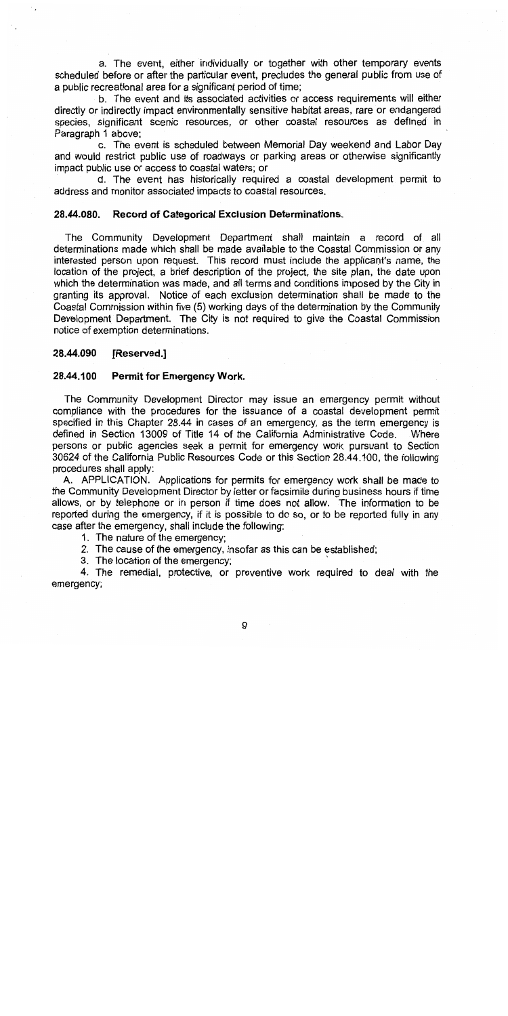a. The event, either individually or together with other temporary events scheduled before or after the particular event, precludes the general public from use of a public recreational area for a significant period of time:

b. The event and its associated activities or access requirements will either directly or indirectly impact environmentally sensitive habitat areas, rare or endangered species, significant scenic resources, or other coastal resources as defined in Paragraph 1 above;

c. The event is scheduled between Memorial Day weekend and Labor Day and would restrict public use of roadways or parking areas or otherwise significantly impact public use or access to coastal waters; or

d. The event has historically required a coastal development permit to address and monitor associated impacts to coastal resources.

#### 28.44.080. **Record of Categorical Exclusion Determinations.**

The Community Development Department shall maintain a record of all determinations made which shall be made available to the Coastal Commission or any interested person upon request. This record must include the applicant's name, the location of the project, a brief description of the project, the site plan, the date upon which the determination was made, and all terms and conditions imposed by the City in granting its approval. Notice of each exclusion determination shall be made to the Coastal Commission within five (5) working days of the determination by the Community Development Department. The City is not required to give the Coastal Commission notice of exemption determinations.

#### 28.44.090 [Reserved.]

#### 28.44.100 **Permit for Emergency Work.**

The Community Development Director may issue an emergency permit without compliance with the procedures for the issuance of a coastal development permit specified in this Chapter 28.44 in cases of an emergency, as the term emergency is defined in Section 13009 of Title 14 of the California Administrative Code. Where persons or public agencies seek a permit for emergency work pursuant to Section 30624 of the California Public Resources Code or this Section 28.44.100, the following procedures shall apply:

A. APPLICATION. Applications for permits for emergency work shall be made to the Community Development Director by letter or facsimile during business hours if time allows, or by telephone or in person if time does not allow. The information to be reported during the emergency, if it is possible to do so, or to be reported fully in any case after the emergency, shall include the following:

1. The nature of the emergency;

2. The cause of the emergency, insofar as this can be established;

3. The location of the emergency;

4. The remedial, protective, or preventive work required to deal with the emergency;

9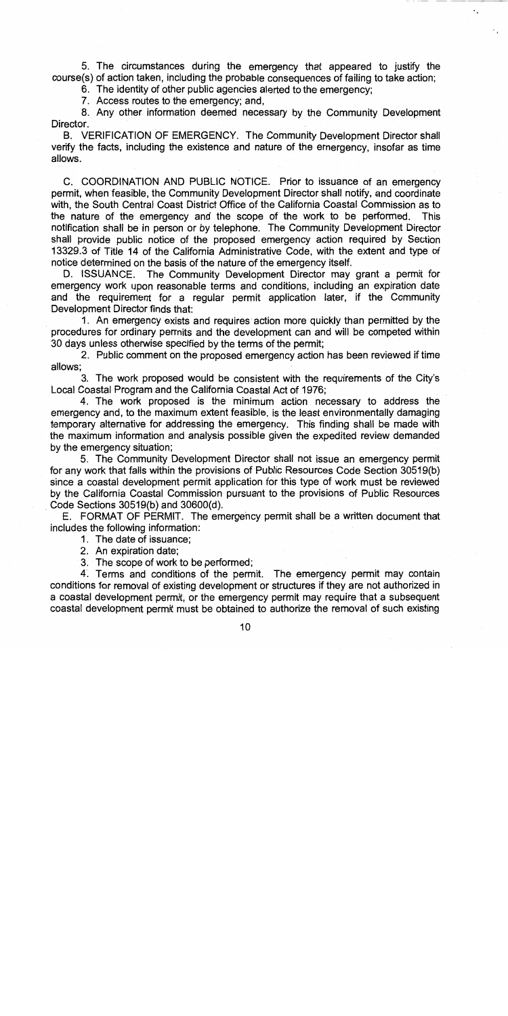5. The circumstances during the emergency that appeared to justify the course(s) of action taken, including the probable consequences of failing to take action;

6. The identity of other public agencies alerted to the emergency:

7. Access routes to the emergency; and,

8. Any other information deemed necessary by the Community Development Director.

B. VERIFICATION OF EMERGENCY. The Community Development Director shall verify the facts, including the existence and nature of the emergency, insofar as time allows.

C. COORDINATION AND PUBLIC NOTICE. Prior to issuance of an emergency permit, when feasible, the Community Development Director shall notify, and coordinate with, the South Central Coast District Office of the California Coastal Commission as to the nature of the emergency and the scope of the work to be performed. This notification shall be in person or by telephone. The Community Development Director shall provide public notice of the proposed emergency action required by Section 13329.3 of Title 14 of the California Administrative Code, with the extent and type of notice determined on the basis of the nature of the emergency itself.

D. ISSUANCE. The Community Development Director may grant a permit for emergency work upon reasonable terms and conditions, including an expiration date and the requirement for a regular permit application later, if the Community Development Director finds that:

1. An emergency exists and requires action more quickly than permitted by the procedures for ordinary permits and the development can and will be competed within 30 days unless otherwise specified by the terms of the permit;

2. Public comment on the proposed emergency action has been reviewed if time allows:

3. The work proposed would be consistent with the requirements of the City's Local Coastal Program and the California Coastal Act of 1976;

4. The work proposed is the minimum action necessary to address the emergency and, to the maximum extent feasible, is the least environmentally damaging temporary alternative for addressing the emergency. This finding shall be made with the maximum information and analysis possible given the expedited review demanded by the emergency situation;

5. The Community Development Director shall not issue an emergency permit for any work that falls within the provisions of Public Resources Code Section 30519(b) since a coastal development permit application for this type of work must be reviewed by the California Coastal Commission pursuant to the provisions of Public Resources Code Sections 30519(b) and 30600(d).

E. FORMAT OF PERMIT. The emergency permit shall be a written document that includes the following information:

1. The date of issuance:

2. An expiration date;

3. The scope of work to be performed;

4. Terms and conditions of the permit. The emergency permit may contain conditions for removal of existing development or structures if they are not authorized in a coastal development permit, or the emergency permit may require that a subsequent coastal development permit must be obtained to authorize the removal of such existing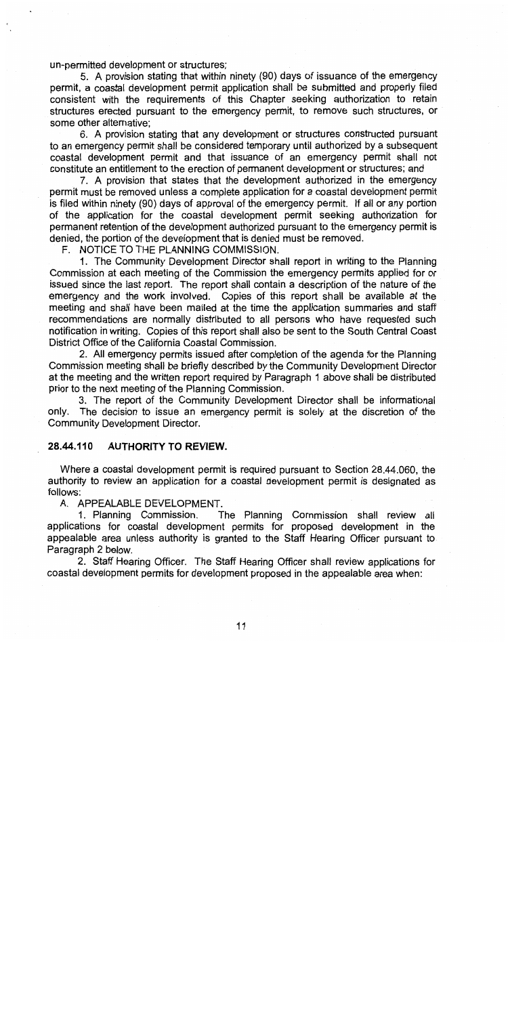un-permitted development or structures;

5. A provision stating that within ninety (90) days of issuance of the emergency permit, a coastal development permit application shall be submitted and properly filed consistent with the requirements of this Chapter seeking authorization to retain structures erected pursuant to the emergency permit, to remove such structures, or some other alternative:

6. A provision stating that any development or structures constructed pursuant to an emergency permit shall be considered temporary until authorized by a subsequent coastal development permit and that issuance of an emergency permit shall not constitute an entitlement to the erection of permanent development or structures; and

7. A provision that states that the development authorized in the emergency permit must be removed unless a complete application for a coastal development permit is filed within ninety (90) days of approval of the emergency permit. If all or any portion of the application for the coastal development permit seeking authorization for permanent retention of the development authorized pursuant to the emergency permit is denied, the portion of the development that is denied must be removed.

F. NOTICE TO THE PLANNING COMMISSION.

1. The Community Development Director shall report in writing to the Planning Commission at each meeting of the Commission the emergency permits applied for or issued since the last report. The report shall contain a description of the nature of the emergency and the work involved. Copies of this report shall be available at the meeting and shall have been mailed at the time the application summaries and staff recommendations are normally distributed to all persons who have requested such notification in writing. Copies of this report shall also be sent to the South Central Coast District Office of the California Coastal Commission.

2. All emergency permits issued after completion of the agenda for the Planning Commission meeting shall be briefly described by the Community Development Director at the meeting and the written report required by Paragraph 1 above shall be distributed prior to the next meeting of the Planning Commission.

3. The report of the Community Development Director shall be informational The decision to issue an emergency permit is solely at the discretion of the only. Community Development Director.

#### 28.44.110 **AUTHORITY TO REVIEW.**

Where a coastal development permit is required pursuant to Section 28.44.060, the authority to review an application for a coastal development permit is designated as follows:

A. APPEALABLE DEVELOPMENT.

1. Planning Commission. The Planning Commission shall review all applications for coastal development permits for proposed development in the appealable area unless authority is granted to the Staff Hearing Officer pursuant to Paragraph 2 below.

2. Staff Hearing Officer. The Staff Hearing Officer shall review applications for coastal development permits for development proposed in the appealable area when: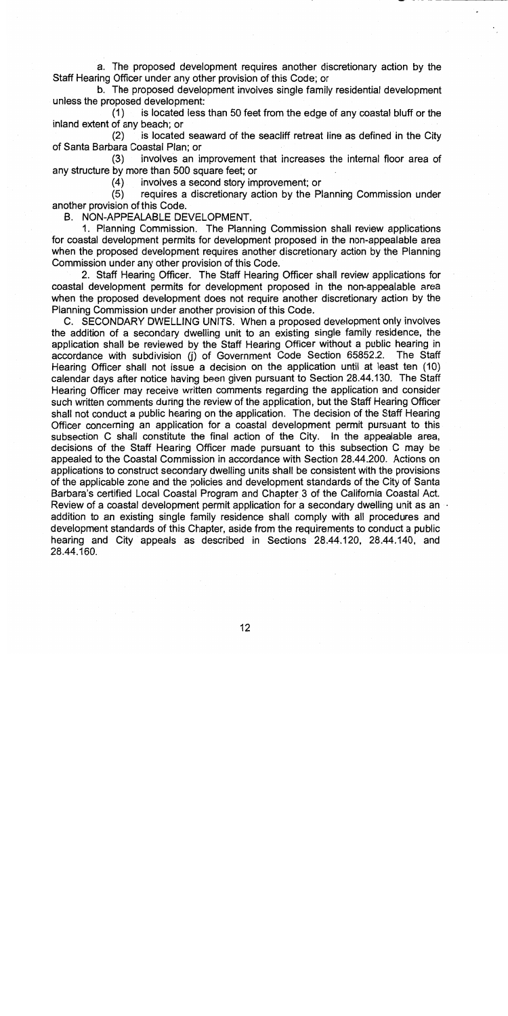a. The proposed development requires another discretionary action by the Staff Hearing Officer under any other provision of this Code; or

b. The proposed development involves single family residential development unless the proposed development:

is located less than 50 feet from the edge of any coastal bluff or the  $(1)$ inland extent of any beach; or

is located seaward of the seacliff retreat line as defined in the City  $(2)$ of Santa Barbara Coastal Plan; or

 $(3)$ involves an improvement that increases the internal floor area of any structure by more than 500 square feet; or

> involves a second story improvement; or  $(4)$

requires a discretionary action by the Planning Commission under  $(5)$ another provision of this Code.

B. NON-APPEALABLE DEVELOPMENT.

1. Planning Commission. The Planning Commission shall review applications for coastal development permits for development proposed in the non-appealable area when the proposed development requires another discretionary action by the Planning Commission under any other provision of this Code.

2. Staff Hearing Officer. The Staff Hearing Officer shall review applications for coastal development permits for development proposed in the non-appealable area when the proposed development does not require another discretionary action by the Planning Commission under another provision of this Code.

C. SECONDARY DWELLING UNITS. When a proposed development only involves the addition of a secondary dwelling unit to an existing single family residence, the application shall be reviewed by the Staff Hearing Officer without a public hearing in accordance with subdivision (j) of Government Code Section 65852.2. The Staff Hearing Officer shall not issue a decision on the application until at least ten (10) calendar days after notice having been given pursuant to Section 28.44.130. The Staff Hearing Officer may receive written comments regarding the application and consider such written comments during the review of the application, but the Staff Hearing Officer shall not conduct a public hearing on the application. The decision of the Staff Hearing Officer concerning an application for a coastal development permit pursuant to this subsection C shall constitute the final action of the City. In the appealable area, decisions of the Staff Hearing Officer made pursuant to this subsection C may be appealed to the Coastal Commission in accordance with Section 28.44.200. Actions on applications to construct secondary dwelling units shall be consistent with the provisions of the applicable zone and the policies and development standards of the City of Santa Barbara's certified Local Coastal Program and Chapter 3 of the California Coastal Act. Review of a coastal development permit application for a secondary dwelling unit as an addition to an existing single family residence shall comply with all procedures and development standards of this Chapter, aside from the requirements to conduct a public hearing and City appeals as described in Sections 28,44,120, 28,44,140, and 28.44.160.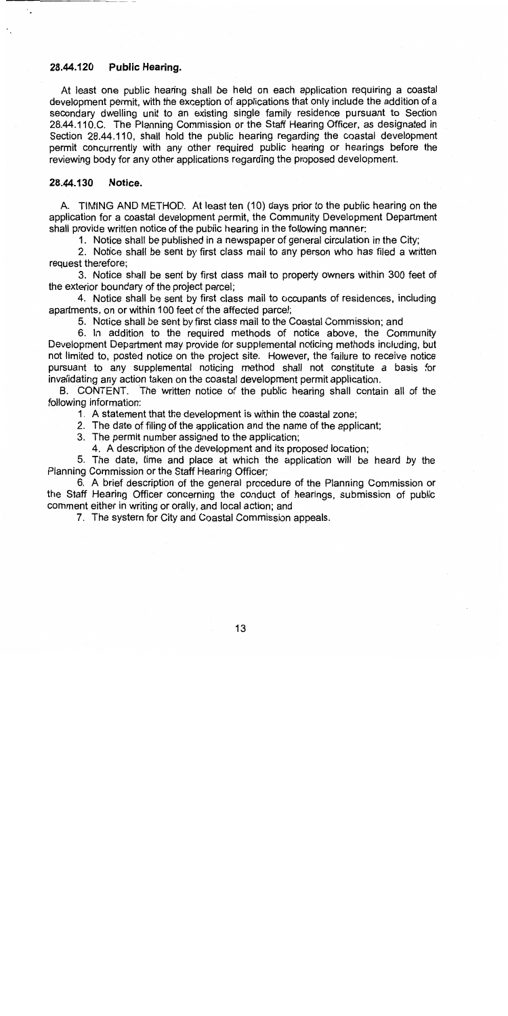#### 28.44.120 **Public Hearing.**

At least one public hearing shall be held on each application requiring a coastal development permit, with the exception of applications that only include the addition of a secondary dwelling unit to an existing single family residence pursuant to Section 28.44.110.C. The Planning Commission or the Staff Hearing Officer, as designated in Section 28.44.110, shall hold the public hearing regarding the coastal development permit concurrently with any other required public hearing or hearings before the reviewing body for any other applications regarding the proposed development.

#### 28.44.130 Notice.

A. TIMING AND METHOD. At least ten (10) days prior to the public hearing on the application for a coastal development permit, the Community Development Department shall provide written notice of the public hearing in the following manner:

1. Notice shall be published in a newspaper of general circulation in the City:

2. Notice shall be sent by first class mail to any person who has filed a written request therefore;

3. Notice shall be sent by first class mail to property owners within 300 feet of the exterior boundary of the project parcel;

4. Notice shall be sent by first class mail to occupants of residences, including apartments, on or within 100 feet of the affected parcel;

5. Notice shall be sent by first class mail to the Coastal Commission; and

6. In addition to the required methods of notice above, the Community Development Department may provide for supplemental noticing methods including, but not limited to, posted notice on the project site. However, the failure to receive notice pursuant to any supplemental noticing method shall not constitute a basis for invalidating any action taken on the coastal development permit application.

B. CONTENT. The written notice of the public hearing shall contain all of the following information:

1. A statement that the development is within the coastal zone;

2. The date of filing of the application and the name of the applicant:

3. The permit number assigned to the application;

4. A description of the development and its proposed location;

5. The date, time and place at which the application will be heard by the Planning Commission or the Staff Hearing Officer;

6. A brief description of the general procedure of the Planning Commission or the Staff Hearing Officer concerning the conduct of hearings, submission of public comment either in writing or orally, and local action; and

7. The system for City and Coastal Commission appeals.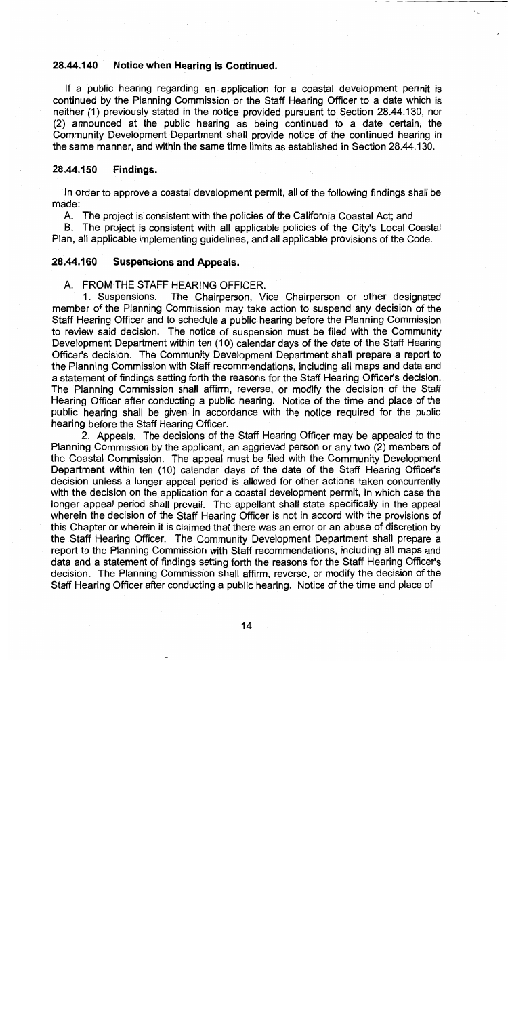#### 28.44.140 Notice when Hearing is Continued.

If a public hearing regarding an application for a coastal development permit is continued by the Planning Commission or the Staff Hearing Officer to a date which is neither (1) previously stated in the notice provided pursuant to Section 28.44.130, nor (2) announced at the public hearing as being continued to a date certain, the Community Development Department shall provide notice of the continued hearing in the same manner, and within the same time limits as established in Section 28.44.130.

#### 28.44.150 Findings.

In order to approve a coastal development permit, all of the following findings shall be made:

A. The project is consistent with the policies of the California Coastal Act; and

B. The project is consistent with all applicable policies of the City's Local Coastal Plan, all applicable implementing guidelines, and all applicable provisions of the Code.

#### 28.44.160 **Suspensions and Appeals.**

## A. FROM THE STAFF HEARING OFFICER.

1. Suspensions. The Chairperson, Vice Chairperson or other designated member of the Planning Commission may take action to suspend any decision of the Staff Hearing Officer and to schedule a public hearing before the Planning Commission to review said decision. The notice of suspension must be filed with the Community Development Department within ten (10) calendar days of the date of the Staff Hearing Officer's decision. The Community Development Department shall prepare a report to the Planning Commission with Staff recommendations, including all maps and data and a statement of findings setting forth the reasons for the Staff Hearing Officer's decision. The Planning Commission shall affirm, reverse, or modify the decision of the Staff Hearing Officer after conducting a public hearing. Notice of the time and place of the public hearing shall be given in accordance with the notice required for the public hearing before the Staff Hearing Officer.

2. Appeals. The decisions of the Staff Hearing Officer may be appealed to the Planning Commission by the applicant, an aggrieved person or any two (2) members of the Coastal Commission. The appeal must be filed with the Community Development Department within ten (10) calendar days of the date of the Staff Hearing Officer's decision unless a longer appeal period is allowed for other actions taken concurrently with the decision on the application for a coastal development permit, in which case the longer appeal period shall prevail. The appellant shall state specifically in the appeal wherein the decision of the Staff Hearing Officer is not in accord with the provisions of this Chapter or wherein it is claimed that there was an error or an abuse of discretion by the Staff Hearing Officer. The Community Development Department shall prepare a report to the Planning Commission with Staff recommendations, including all maps and data and a statement of findings setting forth the reasons for the Staff Hearing Officer's decision. The Planning Commission shall affirm, reverse, or modify the decision of the Staff Hearing Officer after conducting a public hearing. Notice of the time and place of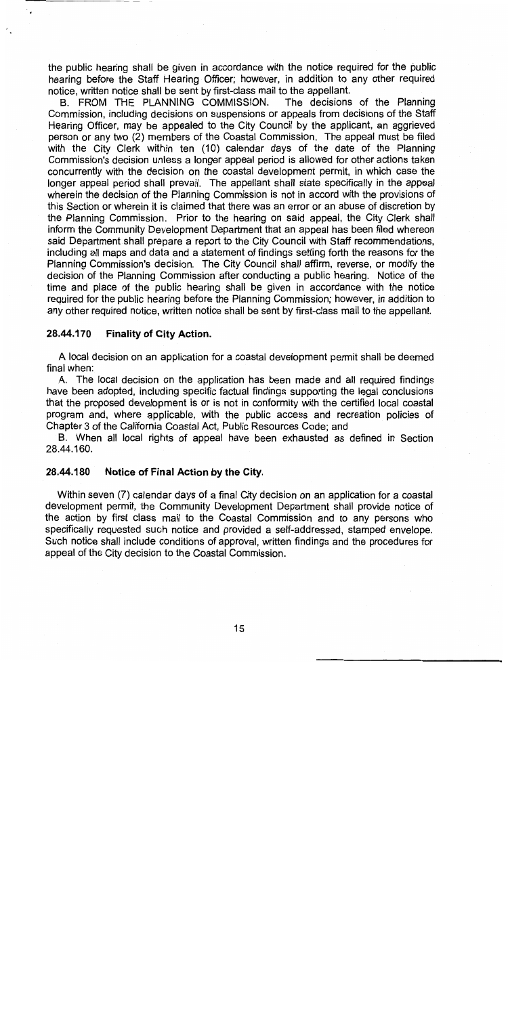the public hearing shall be given in accordance with the notice required for the public hearing before the Staff Hearing Officer; however, in addition to any other required notice, written notice shall be sent by first-class mail to the appellant.

B. FROM THE PLANNING COMMISSION. The decisions of the Planning Commission, including decisions on suspensions or appeals from decisions of the Staff Hearing Officer, may be appealed to the City Council by the applicant, an aggrieved person or any two (2) members of the Coastal Commission. The appeal must be filed with the City Clerk within ten (10) calendar days of the date of the Planning Commission's decision unless a longer appeal period is allowed for other actions taken concurrently with the decision on the coastal development permit, in which case the longer appeal period shall prevail. The appellant shall state specifically in the appeal wherein the decision of the Planning Commission is not in accord with the provisions of this Section or wherein it is claimed that there was an error or an abuse of discretion by the Planning Commission. Prior to the hearing on said appeal, the City Clerk shall inform the Community Development Department that an appeal has been filed whereon said Department shall prepare a report to the City Council with Staff recommendations, including all maps and data and a statement of findings setting forth the reasons for the Planning Commission's decision. The City Council shall affirm, reverse, or modify the decision of the Planning Commission after conducting a public hearing. Notice of the time and place of the public hearing shall be given in accordance with the notice required for the public hearing before the Planning Commission; however, in addition to any other required notice, written notice shall be sent by first-class mail to the appellant.

#### 28.44.170 **Finality of City Action.**

A local decision on an application for a coastal development permit shall be deemed final when:

A. The local decision on the application has been made and all required findings have been adopted, including specific factual findings supporting the legal conclusions that the proposed development is or is not in conformity with the certified local coastal program and, where applicable, with the public access and recreation policies of Chapter 3 of the California Coastal Act, Public Resources Code; and

B. When all local rights of appeal have been exhausted as defined in Section 28.44.160.

#### 28.44.180 Notice of Final Action by the City.

Within seven (7) calendar days of a final City decision on an application for a coastal development permit, the Community Development Department shall provide notice of the action by first class mail to the Coastal Commission and to any persons who specifically requested such notice and provided a self-addressed, stamped envelope. Such notice shall include conditions of approval, written findings and the procedures for appeal of the City decision to the Coastal Commission.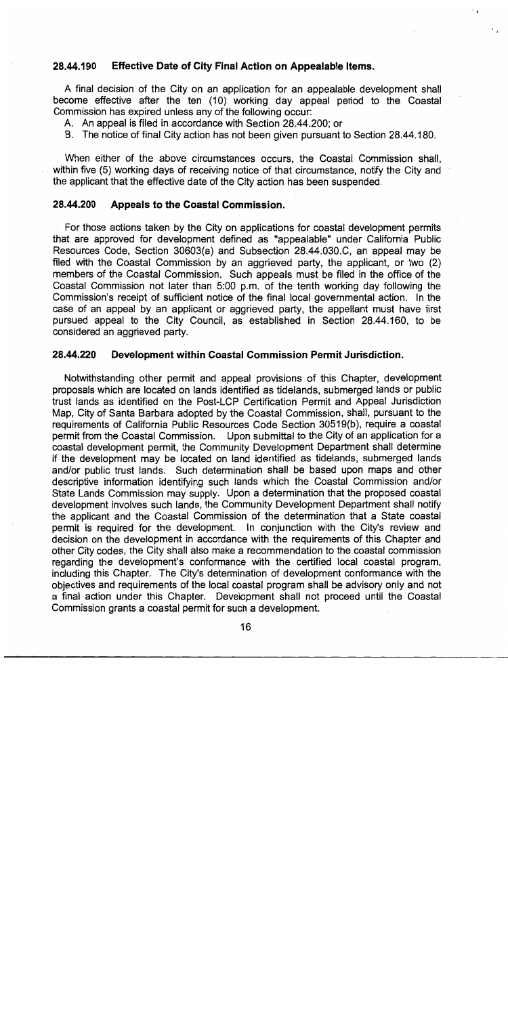#### 28.44.190 **Effective Date of City Final Action on Appealable Items.**

A final decision of the City on an application for an appealable development shall become effective after the ten (10) working day appeal period to the Coastal Commission has expired unless any of the following occur:

A. An appeal is filed in accordance with Section 28.44.200; or

B. The notice of final City action has not been given pursuant to Section 28.44.180.

When either of the above circumstances occurs, the Coastal Commission shall, within five (5) working days of receiving notice of that circumstance, notify the City and the applicant that the effective date of the City action has been suspended.

#### 28.44.200 Appeals to the Coastal Commission.

For those actions taken by the City on applications for coastal development permits that are approved for development defined as "appealable" under California Public Resources Code, Section 30603(a) and Subsection 28.44.030.C, an appeal may be filed with the Coastal Commission by an aggrieved party, the applicant, or two (2) members of the Coastal Commission. Such appeals must be filed in the office of the Coastal Commission not later than 5:00 p.m. of the tenth working day following the Commission's receipt of sufficient notice of the final local governmental action. In the case of an appeal by an applicant or aggrieved party, the appellant must have first pursued appeal to the City Council, as established in Section 28.44.160, to be considered an aggrieved party.

#### 28.44.220 Development within Coastal Commission Permit Jurisdiction.

Notwithstanding other permit and appeal provisions of this Chapter, development proposals which are located on lands identified as tidelands, submerged lands or public trust lands as identified on the Post-LCP Certification Permit and Appeal Jurisdiction Map, City of Santa Barbara adopted by the Coastal Commission, shall, pursuant to the requirements of California Public Resources Code Section 30519(b), require a coastal permit from the Coastal Commission. Upon submittal to the City of an application for a coastal development permit, the Community Development Department shall determine if the development may be located on land identified as tidelands, submerged lands and/or public trust lands. Such determination shall be based upon maps and other descriptive information identifying such lands which the Coastal Commission and/or State Lands Commission may supply. Upon a determination that the proposed coastal development involves such lands, the Community Development Department shall notify the applicant and the Coastal Commission of the determination that a State coastal permit is required for the development. In conjunction with the City's review and decision on the development in accordance with the requirements of this Chapter and other City codes, the City shall also make a recommendation to the coastal commission regarding the development's conformance with the certified local coastal program, including this Chapter. The City's determination of development conformance with the objectives and requirements of the local coastal program shall be advisory only and not a final action under this Chapter. Development shall not proceed until the Coastal Commission grants a coastal permit for such a development.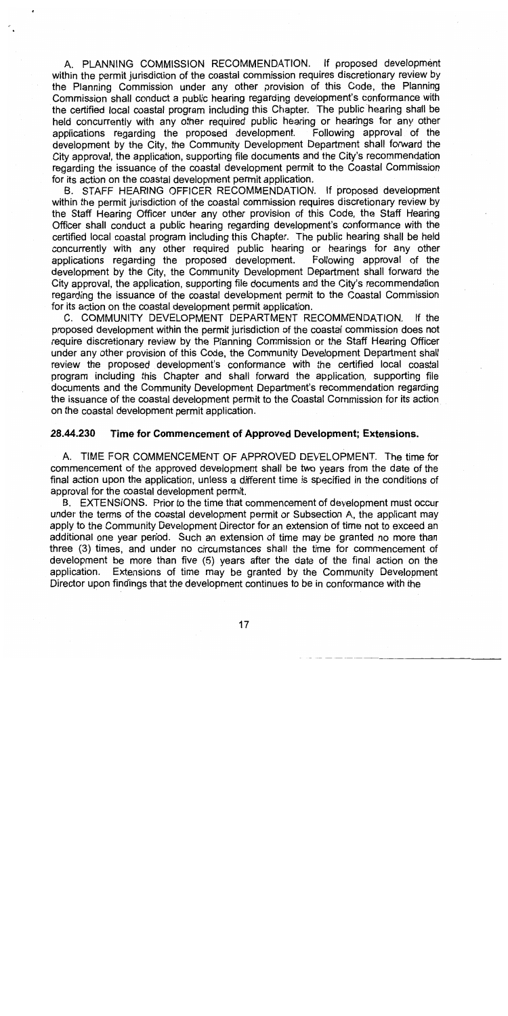If proposed development A. PLANNING COMMISSION RECOMMENDATION. within the permit jurisdiction of the coastal commission requires discretionary review by the Planning Commission under any other provision of this Code, the Planning Commission shall conduct a public hearing regarding development's conformance with the certified local coastal program including this Chapter. The public hearing shall be held concurrently with any other required public hearing or hearings for any other applications regarding the proposed development. Following approval of the development by the City, the Community Development Department shall forward the City approval, the application, supporting file documents and the City's recommendation regarding the issuance of the coastal development permit to the Coastal Commission for its action on the coastal development permit application.

B. STAFF HEARING OFFICER RECOMMENDATION. If proposed development within the permit jurisdiction of the coastal commission requires discretionary review by the Staff Hearing Officer under any other provision of this Code, the Staff Hearing Officer shall conduct a public hearing regarding development's conformance with the certified local coastal program including this Chapter. The public hearing shall be held concurrently with any other required public hearing or hearings for any other applications regarding the proposed development. Following approval of the development by the City, the Community Development Department shall forward the City approval, the application, supporting file documents and the City's recommendation regarding the issuance of the coastal development permit to the Coastal Commission for its action on the coastal development permit application.

C. COMMUNITY DEVELOPMENT DEPARTMENT RECOMMENDATION. If the proposed development within the permit jurisdiction of the coastal commission does not require discretionary review by the Planning Commission or the Staff Hearing Officer under any other provision of this Code, the Community Development Department shall review the proposed development's conformance with the certified local coastal program including this Chapter and shall forward the application, supporting file documents and the Community Development Department's recommendation regarding the issuance of the coastal development permit to the Coastal Commission for its action on the coastal development permit application.

#### 28.44.230 Time for Commencement of Approved Development; Extensions.

A. TIME FOR COMMENCEMENT OF APPROVED DEVELOPMENT. The time for commencement of the approved development shall be two years from the date of the final action upon the application, unless a different time is specified in the conditions of approval for the coastal development permit.

B. EXTENSIONS. Prior to the time that commencement of development must occur under the terms of the coastal development permit or Subsection A, the applicant may apply to the Community Development Director for an extension of time not to exceed an additional one year period. Such an extension of time may be granted no more than three (3) times, and under no circumstances shall the time for commencement of development be more than five (5) years after the date of the final action on the application. Extensions of time may be granted by the Community Development Director upon findings that the development continues to be in conformance with the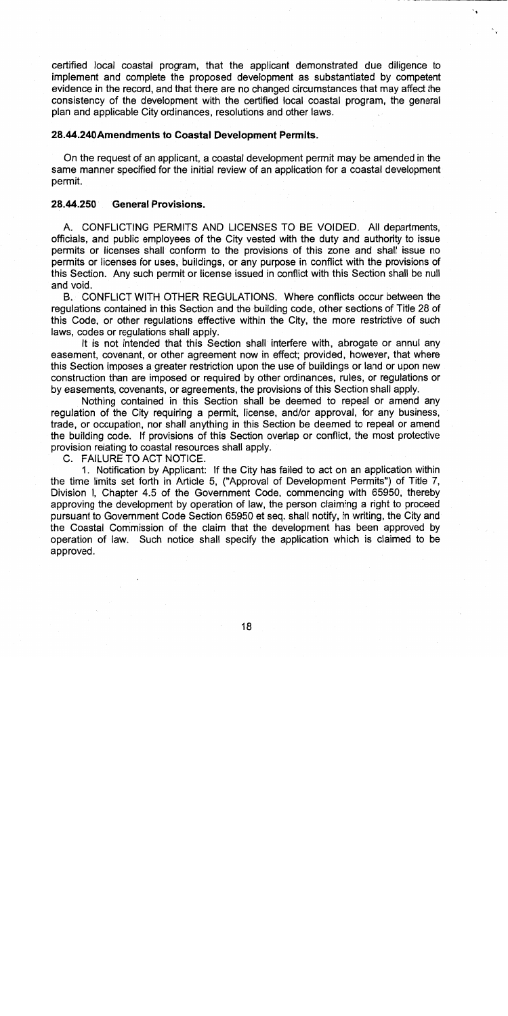certified local coastal program, that the applicant demonstrated due diligence to implement and complete the proposed development as substantiated by competent evidence in the record, and that there are no changed circumstances that may affect the consistency of the development with the certified local coastal program, the general plan and applicable City ordinances, resolutions and other laws.

## 28.44.240 Amendments to Coastal Development Permits.

On the request of an applicant, a coastal development permit may be amended in the same manner specified for the initial review of an application for a coastal development permit.

#### 28.44.250 **General Provisions.**

A. CONFLICTING PERMITS AND LICENSES TO BE VOIDED. All departments, officials, and public employees of the City vested with the duty and authority to issue permits or licenses shall conform to the provisions of this zone and shall issue no permits or licenses for uses, buildings, or any purpose in conflict with the provisions of this Section. Any such permit or license issued in conflict with this Section shall be null and void.

B. CONFLICT WITH OTHER REGULATIONS. Where conflicts occur between the regulations contained in this Section and the building code, other sections of Title 28 of this Code, or other regulations effective within the City, the more restrictive of such laws, codes or regulations shall apply.

It is not intended that this Section shall interfere with, abrogate or annul any easement, covenant, or other agreement now in effect; provided, however, that where this Section imposes a greater restriction upon the use of buildings or land or upon new construction than are imposed or required by other ordinances, rules, or regulations or by easements, covenants, or agreements, the provisions of this Section shall apply.

Nothing contained in this Section shall be deemed to repeal or amend any regulation of the City requiring a permit, license, and/or approval, for any business, trade, or occupation, nor shall anything in this Section be deemed to repeal or amend the building code. If provisions of this Section overlap or conflict, the most protective provision relating to coastal resources shall apply.

C. FAILURE TO ACT NOTICE.

1. Notification by Applicant: If the City has failed to act on an application within the time limits set forth in Article 5, ("Approval of Development Permits") of Title 7, Division I. Chapter 4.5 of the Government Code, commencing with 65950, thereby approving the development by operation of law, the person claiming a right to proceed pursuant to Government Code Section 65950 et seq. shall notify, in writing, the City and the Coastal Commission of the claim that the development has been approved by operation of law. Such notice shall specify the application which is claimed to be approved.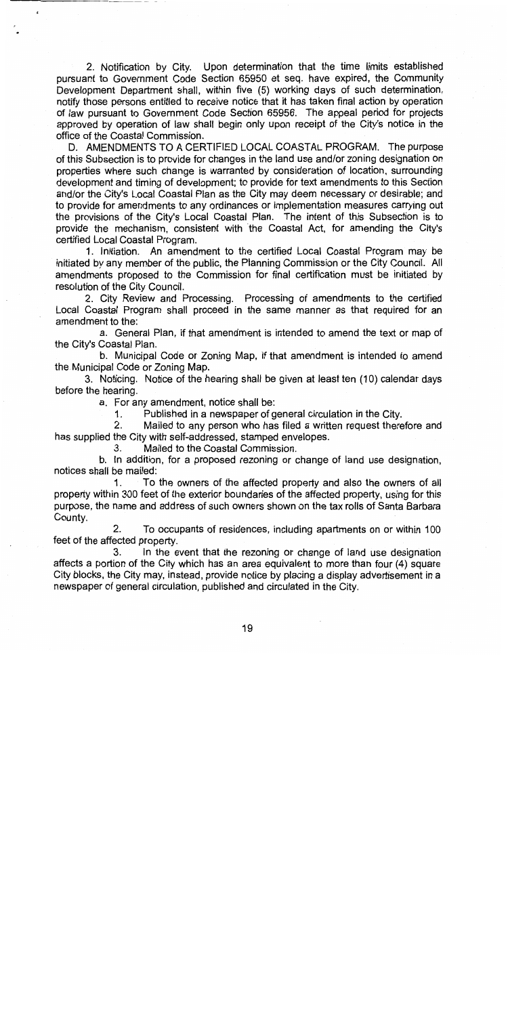2. Notification by City. Upon determination that the time limits established pursuant to Government Code Section 65950 et seq. have expired, the Community Development Department shall, within five (5) working days of such determination, notify those persons entitled to receive notice that it has taken final action by operation of law pursuant to Government Code Section 65956. The appeal period for projects approved by operation of law shall begin only upon receipt of the City's notice in the office of the Coastal Commission.

D. AMENDMENTS TO A CERTIFIED LOCAL COASTAL PROGRAM. The purpose of this Subsection is to provide for changes in the land use and/or zoning designation on properties where such change is warranted by consideration of location, surrounding development and timing of development; to provide for text amendments to this Section and/or the City's Local Coastal Plan as the City may deem necessary or desirable; and to provide for amendments to any ordinances or implementation measures carrying out the provisions of the City's Local Coastal Plan. The intent of this Subsection is to provide the mechanism, consistent with the Coastal Act, for amending the City's certified Local Coastal Program.

1. Initiation. An amendment to the certified Local Coastal Program may be initiated by any member of the public, the Planning Commission or the City Council. All amendments proposed to the Commission for final certification must be initiated by resolution of the City Council.

2. City Review and Processing. Processing of amendments to the certified Local Coastal Program shall proceed in the same manner as that required for an amendment to the:

a. General Plan, if that amendment is intended to amend the text or map of the City's Coastal Plan.

b. Municipal Code or Zoning Map, if that amendment is intended to amend the Municipal Code or Zoning Map.

3. Noticing. Notice of the hearing shall be given at least ten (10) calendar days before the hearing.

a. For any amendment, notice shall be:

 $\epsilon$ 

 $1_{-}$ Published in a newspaper of general circulation in the City.

 $2.$ Mailed to any person who has filed a written request therefore and has supplied the City with self-addressed, stamped envelopes.

Mailed to the Coastal Commission. 3.

b. In addition, for a proposed rezoning or change of land use designation, notices shall be mailed:

 $1_{-}$ To the owners of the affected property and also the owners of all property within 300 feet of the exterior boundaries of the affected property, using for this purpose, the name and address of such owners shown on the tax rolls of Santa Barbara County.

2. To occupants of residences, including apartments on or within 100 feet of the affected property.

In the event that the rezoning or change of land use designation 3. affects a portion of the City which has an area equivalent to more than four (4) square City blocks, the City may, instead, provide notice by placing a display advertisement in a newspaper of general circulation, published and circulated in the City.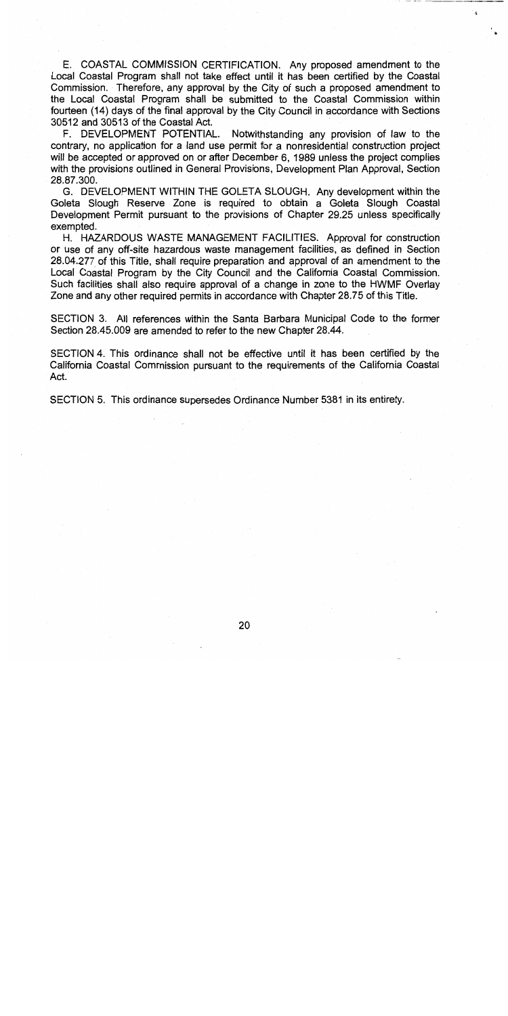E. COASTAL COMMISSION CERTIFICATION. Any proposed amendment to the Local Coastal Program shall not take effect until it has been certified by the Coastal Commission. Therefore, any approval by the City of such a proposed amendment to the Local Coastal Program shall be submitted to the Coastal Commission within fourteen (14) days of the final approval by the City Council in accordance with Sections 30512 and 30513 of the Coastal Act.

F. DEVELOPMENT POTENTIAL. Notwithstanding any provision of law to the contrary, no application for a land use permit for a nonresidential construction project will be accepted or approved on or after December 6, 1989 unless the project complies with the provisions outlined in General Provisions, Development Plan Approval, Section 28.87.300.

G. DEVELOPMENT WITHIN THE GOLETA SLOUGH. Any development within the Goleta Slough Reserve Zone is required to obtain a Goleta Slough Coastal Development Permit pursuant to the provisions of Chapter 29.25 unless specifically exempted.

H. HAZARDOUS WASTE MANAGEMENT FACILITIES. Approval for construction or use of any off-site hazardous waste management facilities, as defined in Section 28.04.277 of this Title, shall require preparation and approval of an amendment to the Local Coastal Program by the City Council and the California Coastal Commission. Such facilities shall also require approval of a change in zone to the HWMF Overlay Zone and any other required permits in accordance with Chapter 28.75 of this Title.

SECTION 3. All references within the Santa Barbara Municipal Code to the former Section 28.45.009 are amended to refer to the new Chapter 28.44.

SECTION 4. This ordinance shall not be effective until it has been certified by the California Coastal Commission pursuant to the requirements of the California Coastal Act.

SECTION 5. This ordinance supersedes Ordinance Number 5381 in its entirety.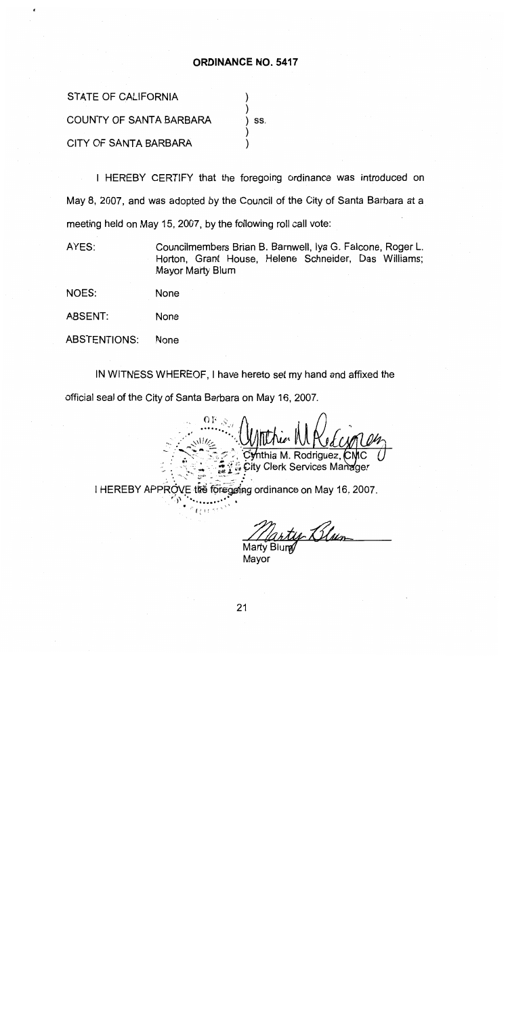## **ORDINANCE NO. 5417**

STATE OF CALIFORNIA COUNTY OF SANTA BARBARA ) SS. **CITY OF SANTA BARBARA** 

I HEREBY CERTIFY that the foregoing ordinance was introduced on May 8, 2007, and was adopted by the Council of the City of Santa Barbara at a meeting held on May 15, 2007, by the following roll call vote:

AYES:

Councilmembers Brian B. Barnwell, Iya G. Falcone, Roger L. Horton, Grant House, Helene Schneider, Das Williams; Mayor Marty Blum

NOES: None

ABSENT: None

**ABSTENTIONS:** None

IN WITNESS WHEREOF, I have hereto set my hand and affixed the

official seal of the City of Santa Barbara on May 16, 2007.

C์<del>V</del>nthia M. Rodriguez, Cl

City Clerk Services Manager

I HEREBY APPROVE the foregoing ordinance on May 16, 2007.

<u>//arty Blum</u>

Mayor